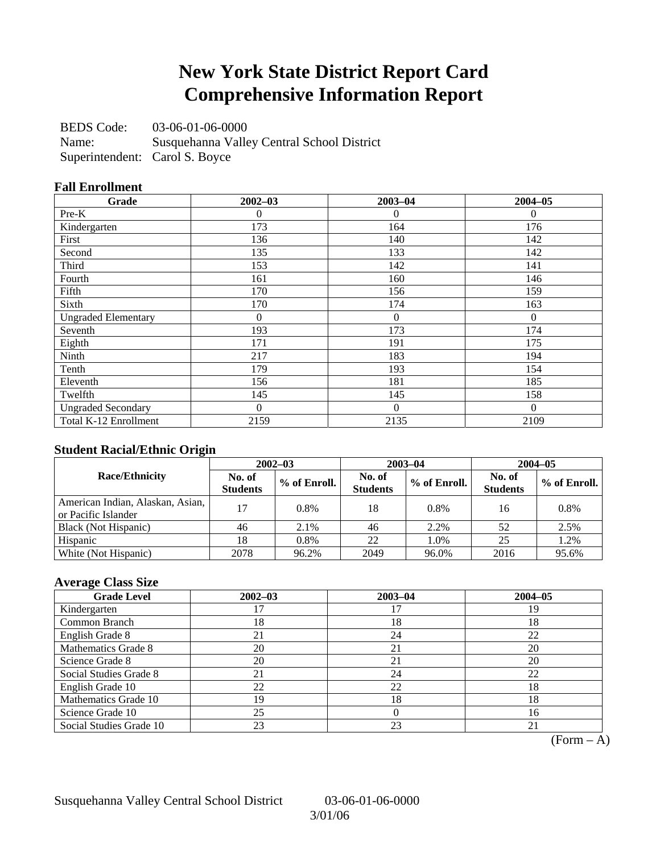### **New York State District Report Card Comprehensive Information Report**

BEDS Code: 03-06-01-06-0000

Name: Susquehanna Valley Central School District Superintendent: Carol S. Boyce

### **Fall Enrollment**

| Grade                      | $2002 - 03$ | $2003 - 04$  | $2004 - 05$  |
|----------------------------|-------------|--------------|--------------|
| Pre-K                      | 0           | $\theta$     | $\mathbf{0}$ |
| Kindergarten               | 173         | 164          | 176          |
| First                      | 136         | 140          | 142          |
| Second                     | 135         | 133          | 142          |
| Third                      | 153         | 142          | 141          |
| Fourth                     | 161         | 160          | 146          |
| Fifth                      | 170         | 156          | 159          |
| Sixth                      | 170         | 174          | 163          |
| <b>Ungraded Elementary</b> | 0           | $\mathbf{0}$ | $\Omega$     |
| Seventh                    | 193         | 173          | 174          |
| Eighth                     | 171         | 191          | 175          |
| Ninth                      | 217         | 183          | 194          |
| Tenth                      | 179         | 193          | 154          |
| Eleventh                   | 156         | 181          | 185          |
| Twelfth                    | 145         | 145          | 158          |
| <b>Ungraded Secondary</b>  | $\theta$    | $\theta$     | $\Omega$     |
| Total K-12 Enrollment      | 2159        | 2135         | 2109         |

### **Student Racial/Ethnic Origin**

|                                                         | $2002 - 03$               |              |                           | $2003 - 04$  | $2004 - 05$               |              |  |
|---------------------------------------------------------|---------------------------|--------------|---------------------------|--------------|---------------------------|--------------|--|
| <b>Race/Ethnicity</b>                                   | No. of<br><b>Students</b> | % of Enroll. | No. of<br><b>Students</b> | % of Enroll. | No. of<br><b>Students</b> | % of Enroll. |  |
| American Indian, Alaskan, Asian,<br>or Pacific Islander | 17                        | 0.8%         | 18                        | 0.8%         | 16                        | 0.8%         |  |
| Black (Not Hispanic)                                    | 46                        | 2.1%         | 46                        | 2.2%         | 52                        | 2.5%         |  |
| Hispanic                                                | 18                        | 0.8%         | 22                        | 1.0%         | 25                        | 1.2%         |  |
| White (Not Hispanic)                                    | 2078                      | 96.2%        | 2049                      | 96.0%        | 2016                      | 95.6%        |  |

### **Average Class Size**

| <b>Grade Level</b>      | $2002 - 03$ | $2003 - 04$ | $2004 - 05$ |
|-------------------------|-------------|-------------|-------------|
| Kindergarten            |             |             | 19          |
| Common Branch           | 18          | 18          | 18          |
| English Grade 8         | 21          | 24          | 22          |
| Mathematics Grade 8     | 20          | 21          | 20          |
| Science Grade 8         | 20          | 21          | 20          |
| Social Studies Grade 8  |             | 24          | 22          |
| English Grade 10        | 22          | 22          | 18          |
| Mathematics Grade 10    | 19          | 18          | 18          |
| Science Grade 10        | 25          |             | 16          |
| Social Studies Grade 10 | 23          | 23          |             |

 $(Form - A)$ 

Susquehanna Valley Central School District 03-06-01-06-0000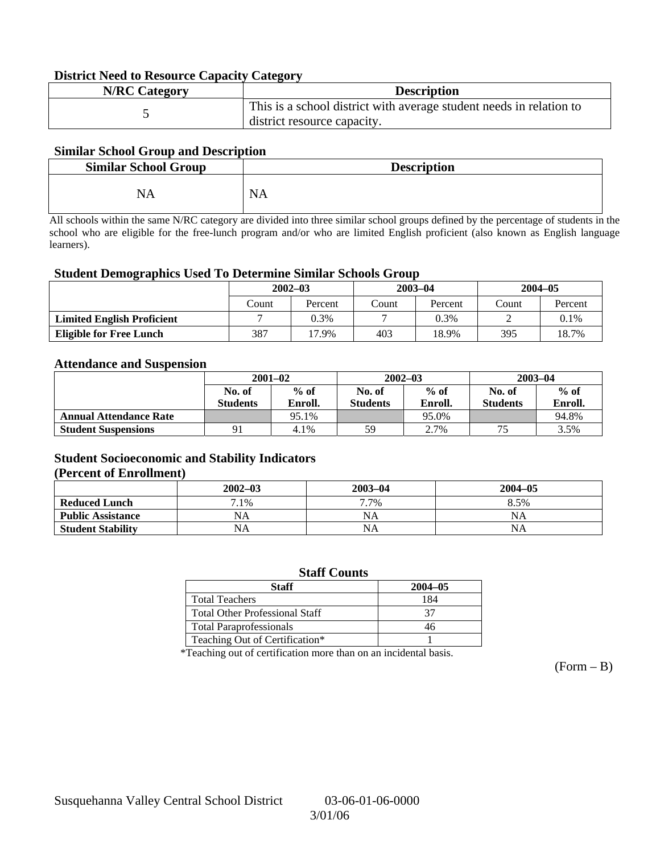#### **District Need to Resource Capacity Category**

| <b>N/RC Category</b> | <b>Description</b>                                                                                 |
|----------------------|----------------------------------------------------------------------------------------------------|
|                      | This is a school district with average student needs in relation to<br>district resource capacity. |

#### **Similar School Group and Description**

| <b>Similar School Group</b> | <b>Description</b> |
|-----------------------------|--------------------|
| NA                          | <b>NA</b>          |

All schools within the same N/RC category are divided into three similar school groups defined by the percentage of students in the school who are eligible for the free-lunch program and/or who are limited English proficient (also known as English language learners).

#### **Student Demographics Used To Determine Similar Schools Group**

|                                   | $2002 - 03$ |         |       | $2003 - 04$ | $2004 - 05$ |         |
|-----------------------------------|-------------|---------|-------|-------------|-------------|---------|
|                                   | Count       | Percent | Count | Percent     | Count       | Percent |
| <b>Limited English Proficient</b> |             | 0.3%    |       | 0.3%        |             | $0.1\%$ |
| <b>Eligible for Free Lunch</b>    | 387         | 17.9%   | 403   | 18.9%       | 395         | 18.7%   |

#### **Attendance and Suspension**

|                               | $2001 - 02$<br>$%$ of<br>No. of |         |                 | $2002 - 03$ | $2003 - 04$     |         |
|-------------------------------|---------------------------------|---------|-----------------|-------------|-----------------|---------|
|                               |                                 |         | No. of          | $%$ of      | No. of          | $%$ of  |
|                               | <b>Students</b>                 | Enroll. | <b>Students</b> | Enroll.     | <b>Students</b> | Enroll. |
| <b>Annual Attendance Rate</b> |                                 | 95.1%   |                 | 95.0%       |                 | 94.8%   |
| <b>Student Suspensions</b>    | 91                              | 4.1%    | 59              | 2.7%        | 75              | 3.5%    |

### **Student Socioeconomic and Stability Indicators (Percent of Enrollment)**

|                          | $2002 - 03$ | $2003 - 04$ | $2004 - 05$ |
|--------------------------|-------------|-------------|-------------|
| <b>Reduced Lunch</b>     | $.1\%$      | 7.7%        | 8.5%        |
| <b>Public Assistance</b> | NA          | NA          | NA          |
| <b>Student Stability</b> | NA          | NA          | NA          |

#### **Staff Counts**

| Staff                                 | $2004 - 05$ |
|---------------------------------------|-------------|
| <b>Total Teachers</b>                 | 184         |
| <b>Total Other Professional Staff</b> | 37          |
| <b>Total Paraprofessionals</b>        |             |
| Teaching Out of Certification*        |             |

\*Teaching out of certification more than on an incidental basis.

 $(Form - B)$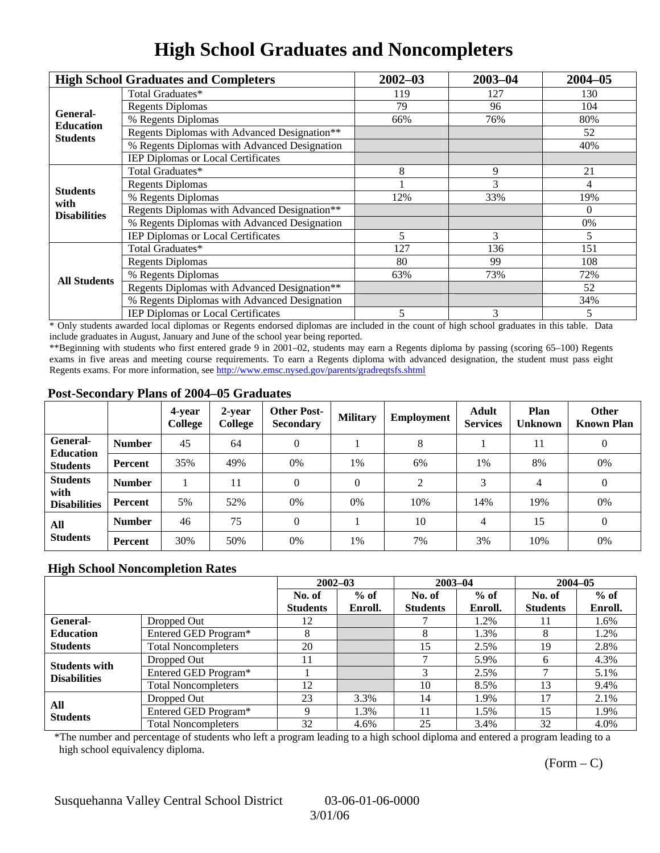# **High School Graduates and Noncompleters**

|                         | <b>High School Graduates and Completers</b>                      | $2002 - 03$                                              | $2003 - 04$ | $2004 - 05$ |
|-------------------------|------------------------------------------------------------------|----------------------------------------------------------|-------------|-------------|
|                         | Total Graduates*                                                 | 119                                                      | 127         | 130         |
| General-                | 79<br><b>Regents Diplomas</b><br>96<br>76%<br>66%<br>8<br>9<br>3 |                                                          | 104         |             |
| <b>Education</b>        | % Regents Diplomas                                               |                                                          |             | 80%         |
| <b>Students</b>         | Regents Diplomas with Advanced Designation**                     |                                                          |             | 52          |
|                         | % Regents Diplomas with Advanced Designation                     |                                                          |             | 40%         |
|                         | IEP Diplomas or Local Certificates                               |                                                          |             |             |
|                         | Total Graduates*                                                 |                                                          |             | 21          |
|                         | <b>Regents Diplomas</b>                                          |                                                          |             | 4           |
| <b>Students</b><br>with | % Regents Diplomas                                               | 12%                                                      | 33%         | 19%         |
| <b>Disabilities</b>     | Regents Diplomas with Advanced Designation**                     | 3<br>5<br>127<br>136<br>80<br>99<br>63%<br>73%<br>3<br>5 | $\theta$    |             |
|                         | % Regents Diplomas with Advanced Designation                     |                                                          | 0%          |             |
|                         | IEP Diplomas or Local Certificates                               |                                                          |             | 5           |
|                         | Total Graduates*                                                 |                                                          |             | 151         |
|                         | <b>Regents Diplomas</b>                                          |                                                          |             | 108         |
| <b>All Students</b>     | % Regents Diplomas                                               |                                                          | 72%         |             |
|                         | Regents Diplomas with Advanced Designation**                     |                                                          |             | 52          |
|                         | % Regents Diplomas with Advanced Designation                     |                                                          |             | 34%         |
|                         | IEP Diplomas or Local Certificates                               |                                                          |             | 5           |

\* Only students awarded local diplomas or Regents endorsed diplomas are included in the count of high school graduates in this table. Data include graduates in August, January and June of the school year being reported.

\*\*Beginning with students who first entered grade 9 in 2001–02, students may earn a Regents diploma by passing (scoring 65–100) Regents exams in five areas and meeting course requirements. To earn a Regents diploma with advanced designation, the student must pass eight Regents exams. For more information, see http://www.emsc.nysed.gov/parents/gradreqtsfs.shtml

#### **Post-Secondary Plans of 2004–05 Graduates**

|                                                        |                | 4-year<br>College | 2-year<br>College | <b>Other Post-</b><br><b>Secondary</b> | <b>Military</b> | Employment | <b>Adult</b><br><b>Services</b> | Plan<br><b>Unknown</b> | <b>Other</b><br><b>Known Plan</b> |
|--------------------------------------------------------|----------------|-------------------|-------------------|----------------------------------------|-----------------|------------|---------------------------------|------------------------|-----------------------------------|
| <b>General-</b><br><b>Education</b><br><b>Students</b> | <b>Number</b>  | 45                | 64                | 0                                      |                 | 8          |                                 | 11                     | $\boldsymbol{0}$                  |
|                                                        | Percent        | 35%               | 49%               | 0%                                     | 1%              | 6%         | 1%                              | 8%                     | 0%                                |
| <b>Students</b><br>with<br><b>Disabilities</b>         | <b>Number</b>  |                   | 11                | 0                                      | $\Omega$        | 2          | 3                               | 4                      | $\theta$                          |
|                                                        | Percent        | 5%                | 52%               | 0%                                     | 0%              | 10%        | 14%                             | 19%                    | 0%                                |
| All<br><b>Students</b>                                 | <b>Number</b>  | 46                | 75                | $\theta$                               |                 | 10         | $\overline{4}$                  | 15                     | $\overline{0}$                    |
|                                                        | <b>Percent</b> | 30%               | 50%               | 0%                                     | 1%              | 7%         | 3%                              | 10%                    | 0%                                |

### **High School Noncompletion Rates**

|                        |                            |                 | $2002 - 03$ |                 | $2003 - 04$ |                 | $2004 - 05$ |
|------------------------|----------------------------|-----------------|-------------|-----------------|-------------|-----------------|-------------|
|                        |                            | No. of          | $%$ of      | No. of          | $%$ of      | No. of          | $%$ of      |
|                        |                            | <b>Students</b> | Enroll.     | <b>Students</b> | Enroll.     | <b>Students</b> | Enroll.     |
| General-               | Dropped Out                | 12              |             |                 | 1.2%        | 11              | 1.6%        |
| <b>Education</b>       | Entered GED Program*       | 8               |             | 8               | 1.3%        | 8               | 1.2%        |
| <b>Students</b>        | <b>Total Noncompleters</b> | 20              |             | 15              | 2.5%        | 19              | 2.8%        |
| <b>Students with</b>   | Dropped Out                | 11              |             |                 | 5.9%        | h               | 4.3%        |
| <b>Disabilities</b>    | Entered GED Program*       |                 |             |                 | 2.5%        |                 | 5.1%        |
|                        | <b>Total Noncompleters</b> | 12              |             | 10              | 8.5%        | 13              | 9.4%        |
| All<br><b>Students</b> | Dropped Out                | 23              | 3.3%        | 14              | 1.9%        |                 | 2.1%        |
|                        | Entered GED Program*       | Q               | 1.3%        | 11              | 1.5%        | 15              | 1.9%        |
|                        | <b>Total Noncompleters</b> | 32              | 4.6%        | 25              | 3.4%        | 32              | 4.0%        |

\*The number and percentage of students who left a program leading to a high school diploma and entered a program leading to a high school equivalency diploma.

 $(Form - C)$ 

Susquehanna Valley Central School District 03-06-01-06-0000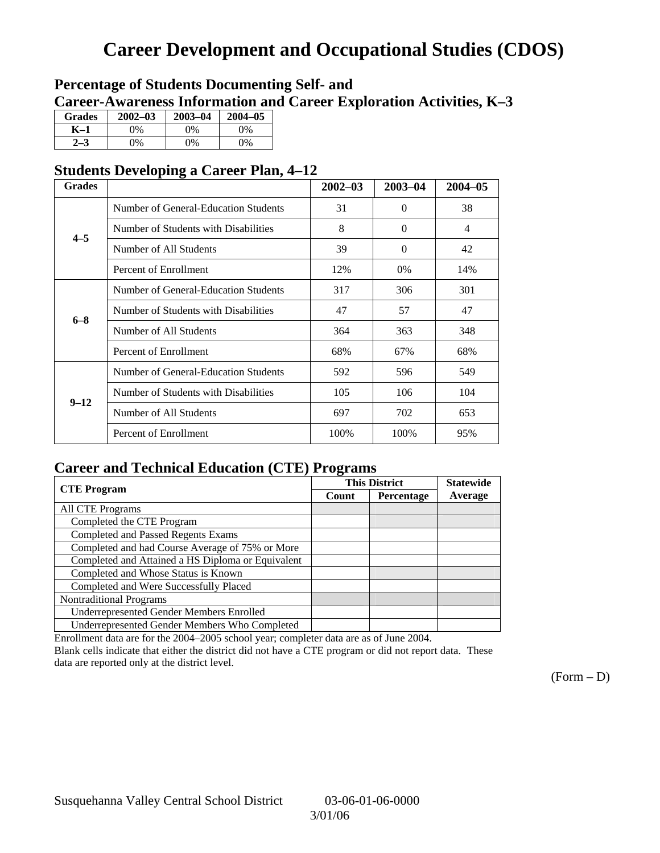## **Career Development and Occupational Studies (CDOS)**

### **Percentage of Students Documenting Self- and Career-Awareness Information and Career Exploration Activities, K–3**

| <b>Grades</b> | $2002 - 03$ | $2003 - 04$ | 2004-05 |
|---------------|-------------|-------------|---------|
| K–1           | 0%          | $0\%$       | 0%      |
| $2 - 3$       | 9%          | $0\%$       | $0\%$   |

### **Students Developing a Career Plan, 4–12**

| <b>Grades</b> |                                      | $2002 - 03$ | $2003 - 04$ | $2004 - 05$ |
|---------------|--------------------------------------|-------------|-------------|-------------|
|               | Number of General-Education Students | 31          | $\Omega$    | 38          |
| $4 - 5$       | Number of Students with Disabilities | 8           | $\Omega$    | 4           |
|               | Number of All Students               | 39          | $\Omega$    | 42          |
|               | Percent of Enrollment                | 12%         | $0\%$       | 14%         |
|               | Number of General-Education Students | 317         | 306         | 301         |
| $6 - 8$       | Number of Students with Disabilities | 47          | 57          | 47          |
|               | Number of All Students               | 364         | 363         | 348         |
|               | Percent of Enrollment                | 68%         | 67%         | 68%         |
|               | Number of General-Education Students | 592         | 596         | 549         |
| $9 - 12$      | Number of Students with Disabilities | 105         | 106         | 104         |
|               | Number of All Students               | 697         | 702         | 653         |
|               | Percent of Enrollment                | 100%        | 100%        | 95%         |

### **Career and Technical Education (CTE) Programs**

|                                                   | . .   | <b>This District</b> | <b>Statewide</b> |
|---------------------------------------------------|-------|----------------------|------------------|
| <b>CTE Program</b>                                | Count | Percentage           |                  |
| All CTE Programs                                  |       |                      |                  |
| Completed the CTE Program                         |       |                      |                  |
| <b>Completed and Passed Regents Exams</b>         |       |                      |                  |
| Completed and had Course Average of 75% or More   |       |                      |                  |
| Completed and Attained a HS Diploma or Equivalent |       |                      |                  |
| Completed and Whose Status is Known               |       |                      |                  |
| Completed and Were Successfully Placed            |       |                      |                  |
| <b>Nontraditional Programs</b>                    |       |                      |                  |
| <b>Underrepresented Gender Members Enrolled</b>   |       |                      |                  |
| Underrepresented Gender Members Who Completed     |       |                      |                  |

Enrollment data are for the 2004–2005 school year; completer data are as of June 2004.

Blank cells indicate that either the district did not have a CTE program or did not report data. These data are reported only at the district level.

 $(Form - D)$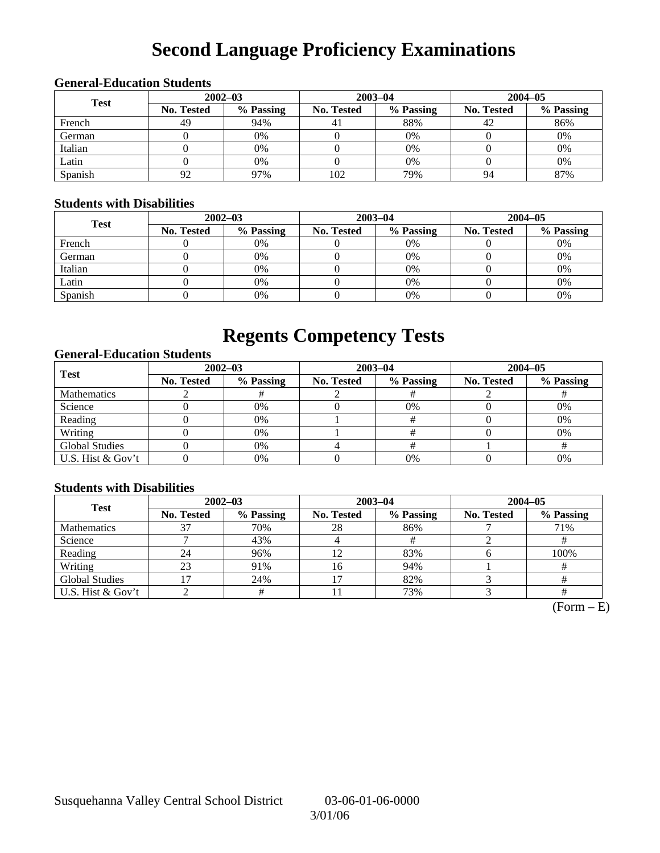# **Second Language Proficiency Examinations**

### **General-Education Students**

| <b>Test</b> | $2002 - 03$       |           |                   | $2003 - 04$ | $2004 - 05$ |           |  |
|-------------|-------------------|-----------|-------------------|-------------|-------------|-----------|--|
|             | <b>No. Tested</b> | % Passing | <b>No. Tested</b> | % Passing   | No. Tested  | % Passing |  |
| French      | 49                | 94%       | 4                 | 88%         | 42          | 86%       |  |
| German      |                   | 0%        |                   | $0\%$       |             | 0%        |  |
| Italian     |                   | 0%        |                   | 0%          |             | 0%        |  |
| Latin       |                   | 0%        |                   | $0\%$       |             | 0%        |  |
| Spanish     | 92                | 97%       | 102               | 79%         | 94          | 87%       |  |

#### **Students with Disabilities**

| <b>Test</b> | $2002 - 03$ |           |            | $2003 - 04$ | $2004 - 05$       |           |  |
|-------------|-------------|-----------|------------|-------------|-------------------|-----------|--|
|             | No. Tested  | % Passing | No. Tested | % Passing   | <b>No. Tested</b> | % Passing |  |
| French      |             | 0%        |            | 0%          |                   | 0%        |  |
| German      |             | 0%        |            | 0%          |                   | 0%        |  |
| Italian     |             | 0%        |            | 0%          |                   | 0%        |  |
| Latin       |             | 0%        |            | 0%          |                   | 0%        |  |
| Spanish     |             | 0%        |            | 0%          |                   | 0%        |  |

### **Regents Competency Tests**

### **General-Education Students**

| <b>Test</b>           | $2002 - 03$       |           |            | $2003 - 04$ | $2004 - 05$       |           |  |
|-----------------------|-------------------|-----------|------------|-------------|-------------------|-----------|--|
|                       | <b>No. Tested</b> | % Passing | No. Tested | % Passing   | <b>No. Tested</b> | % Passing |  |
| Mathematics           |                   |           |            |             |                   |           |  |
| Science               |                   | 0%        |            | 0%          |                   | 0%        |  |
| Reading               |                   | 0%        |            |             |                   | 0%        |  |
| Writing               |                   | 0%        |            |             |                   | 0%        |  |
| <b>Global Studies</b> |                   | 0%        |            |             |                   |           |  |
| U.S. Hist & Gov't     |                   | 0%        |            | 0%          |                   | 0%        |  |

### **Students with Disabilities**

| <b>Test</b>           | $2002 - 03$       |           | $2003 - 04$       |           | $2004 - 05$       |           |  |
|-----------------------|-------------------|-----------|-------------------|-----------|-------------------|-----------|--|
|                       | <b>No. Tested</b> | % Passing | <b>No. Tested</b> | % Passing | <b>No. Tested</b> | % Passing |  |
| <b>Mathematics</b>    |                   | 70%       | 28                | 86%       |                   | 71%       |  |
| Science               |                   | 43%       |                   |           |                   |           |  |
| Reading               | 24                | 96%       | 12                | 83%       |                   | 100%      |  |
| Writing               | 23                | 91%       | 16                | 94%       |                   |           |  |
| <b>Global Studies</b> |                   | 24%       | 17                | 82%       |                   |           |  |
| U.S. Hist & Gov't     |                   |           |                   | 73%       |                   |           |  |

 $(Form - E)$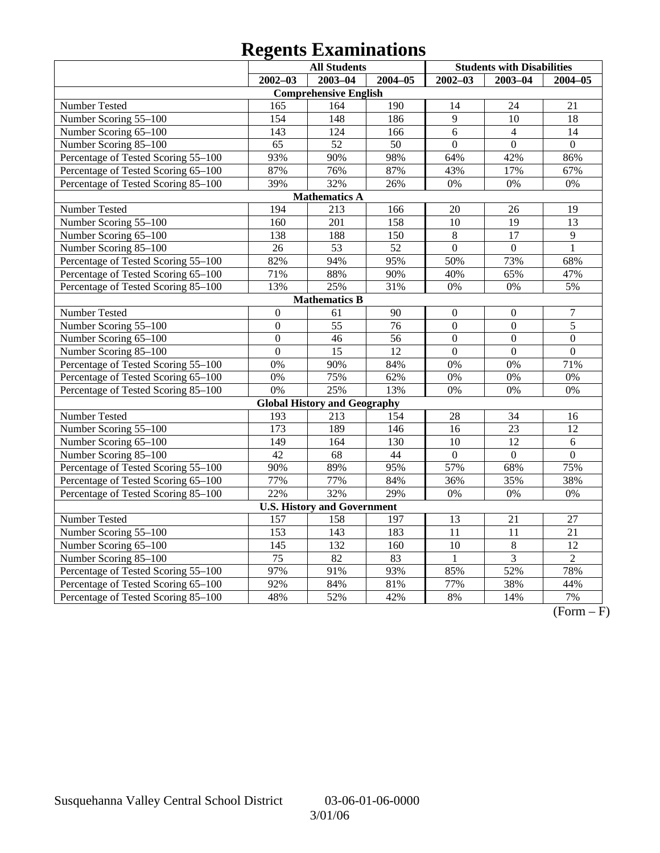# **Regents Examinations**

|                                     | <b>All Students</b> |                                     |                 | <b>Students with Disabilities</b> |                  |                  |  |  |  |
|-------------------------------------|---------------------|-------------------------------------|-----------------|-----------------------------------|------------------|------------------|--|--|--|
|                                     | $2002 - 03$         | $2003 - 04$                         | $2004 - 05$     | $2002 - 03$                       | $2003 - 04$      | $2004 - 05$      |  |  |  |
| <b>Comprehensive English</b>        |                     |                                     |                 |                                   |                  |                  |  |  |  |
| Number Tested                       | 165                 | 164                                 | 190             | 14                                | 24               | 21               |  |  |  |
| Number Scoring 55-100               | 154                 | 148                                 | 186             | $\overline{9}$                    | 10               | 18               |  |  |  |
| Number Scoring 65-100               | 143                 | 124                                 | 166             | 6                                 | $\overline{4}$   | 14               |  |  |  |
| Number Scoring 85-100               | 65                  | 52                                  | 50              | $\overline{0}$                    | $\overline{0}$   | $\overline{0}$   |  |  |  |
| Percentage of Tested Scoring 55-100 | 93%                 | 90%                                 | 98%             | 64%                               | 42%              | 86%              |  |  |  |
| Percentage of Tested Scoring 65-100 | 87%                 | 76%                                 | 87%             | 43%                               | 17%              | 67%              |  |  |  |
| Percentage of Tested Scoring 85-100 | 39%                 | 32%                                 | 26%             | 0%                                | 0%               | 0%               |  |  |  |
|                                     |                     | <b>Mathematics A</b>                |                 |                                   |                  |                  |  |  |  |
| Number Tested                       | 194                 | 213                                 | 166             | 20                                | 26               | 19               |  |  |  |
| Number Scoring 55-100               | 160                 | $\overline{201}$                    | 158             | 10                                | 19               | 13               |  |  |  |
| Number Scoring 65-100               | 138                 | 188                                 | 150             | $\,8\,$                           | $\overline{17}$  | 9                |  |  |  |
| Number Scoring 85-100               | $\overline{26}$     | $\overline{53}$                     | $\overline{52}$ | $\overline{0}$                    | $\overline{0}$   | $\mathbf{1}$     |  |  |  |
| Percentage of Tested Scoring 55-100 | 82%                 | 94%                                 | 95%             | 50%                               | 73%              | 68%              |  |  |  |
| Percentage of Tested Scoring 65-100 | 71%                 | 88%                                 | 90%             | 40%                               | 65%              | 47%              |  |  |  |
| Percentage of Tested Scoring 85-100 | 13%                 | 25%                                 | 31%             | 0%                                | $0\%$            | 5%               |  |  |  |
|                                     |                     | <b>Mathematics B</b>                |                 |                                   |                  |                  |  |  |  |
| Number Tested                       | $\overline{0}$      | 61                                  | 90              | $\boldsymbol{0}$                  | $\boldsymbol{0}$ | $\boldsymbol{7}$ |  |  |  |
| Number Scoring 55-100               | $\overline{0}$      | $\overline{55}$                     | 76              | $\overline{0}$                    | $\overline{0}$   | $\overline{5}$   |  |  |  |
| Number Scoring 65-100               | $\overline{0}$      | 46                                  | 56              | $\overline{0}$                    | $\mathbf{0}$     | $\boldsymbol{0}$ |  |  |  |
| Number Scoring 85-100               | $\overline{0}$      | $\overline{15}$                     | 12              | $\overline{0}$                    | $\overline{0}$   | $\overline{0}$   |  |  |  |
| Percentage of Tested Scoring 55-100 | 0%                  | 90%                                 | 84%             | 0%                                | 0%               | 71%              |  |  |  |
| Percentage of Tested Scoring 65-100 | 0%                  | 75%                                 | 62%             | 0%                                | 0%               | 0%               |  |  |  |
| Percentage of Tested Scoring 85-100 | 0%                  | 25%                                 | 13%             | 0%                                | 0%               | 0%               |  |  |  |
|                                     |                     | <b>Global History and Geography</b> |                 |                                   |                  |                  |  |  |  |
| Number Tested                       | 193                 | 213                                 | 154             | 28                                | 34               | 16               |  |  |  |
| Number Scoring 55-100               | $\overline{173}$    | 189                                 | 146             | 16                                | 23               | 12               |  |  |  |
| Number Scoring 65-100               | 149                 | 164                                 | 130             | 10                                | 12               | 6                |  |  |  |
| Number Scoring 85-100               | $\overline{42}$     | $\overline{68}$                     | $\overline{44}$ | $\overline{0}$                    | $\overline{0}$   | $\overline{0}$   |  |  |  |
| Percentage of Tested Scoring 55-100 | 90%                 | 89%                                 | 95%             | 57%                               | 68%              | 75%              |  |  |  |
| Percentage of Tested Scoring 65-100 | 77%                 | 77%                                 | 84%             | 36%                               | 35%              | 38%              |  |  |  |
| Percentage of Tested Scoring 85-100 | 22%                 | 32%                                 | 29%             | 0%                                | $0\%$            | 0%               |  |  |  |
|                                     |                     | <b>U.S. History and Government</b>  |                 |                                   |                  |                  |  |  |  |
| Number Tested                       | 157                 | 158                                 | 197             | 13                                | 21               | 27               |  |  |  |
| Number Scoring 55-100               | 153                 | 143                                 | 183             | 11                                | 11               | 21               |  |  |  |
| Number Scoring 65-100               | 145                 | 132                                 | 160             | 10                                | $\,8\,$          | 12               |  |  |  |
| Number Scoring 85-100               | $\overline{75}$     | $\overline{82}$                     | 83              | $\mathbf{1}$                      | $\overline{3}$   | $\overline{2}$   |  |  |  |
| Percentage of Tested Scoring 55-100 | 97%                 | 91%                                 | 93%             | 85%                               | 52%              | 78%              |  |  |  |
| Percentage of Tested Scoring 65-100 | 92%                 | 84%                                 | 81%             | 77%                               | 38%              | 44%              |  |  |  |
| Percentage of Tested Scoring 85-100 | 48%                 | 52%                                 | 42%             | 8%                                | 14%              | 7%               |  |  |  |

 $\overline{(Form - F)}$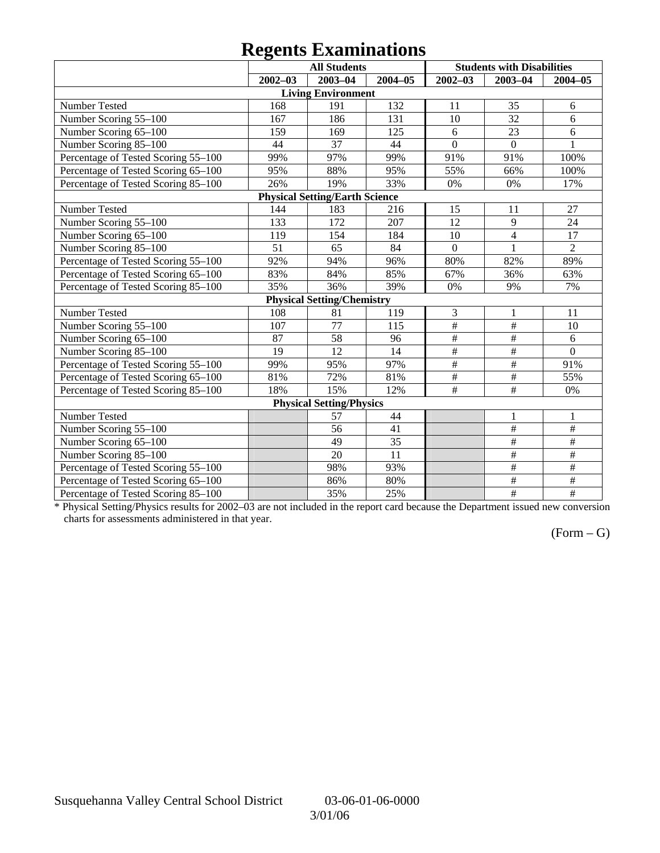# **Regents Examinations**

|                                     | o           | <b>All Students</b>                   |             |                 | <b>Students with Disabilities</b> |                 |
|-------------------------------------|-------------|---------------------------------------|-------------|-----------------|-----------------------------------|-----------------|
|                                     | $2002 - 03$ | $2003 - 04$                           | $2004 - 05$ | $2002 - 03$     | $2003 - 04$                       | $2004 - 05$     |
|                                     |             | <b>Living Environment</b>             |             |                 |                                   |                 |
| Number Tested                       | 168         | 191                                   | 132         | 11              | 35                                | 6               |
| Number Scoring 55-100               | 167         | 186                                   | 131         | 10              | 32                                | 6               |
| Number Scoring 65-100               | 159         | 169                                   | 125         | $6\,$           | 23                                | 6               |
| Number Scoring 85-100               | 44          | 37                                    | 44          | $\overline{0}$  | $\Omega$                          | $\mathbf{1}$    |
| Percentage of Tested Scoring 55-100 | 99%         | 97%                                   | 99%         | 91%             | 91%                               | 100%            |
| Percentage of Tested Scoring 65-100 | 95%         | 88%                                   | 95%         | 55%             | 66%                               | 100%            |
| Percentage of Tested Scoring 85-100 | 26%         | 19%                                   | 33%         | 0%              | 0%                                | 17%             |
|                                     |             | <b>Physical Setting/Earth Science</b> |             |                 |                                   |                 |
| Number Tested                       | 144         | 183                                   | 216         | 15              | 11                                | 27              |
| Number Scoring 55-100               | 133         | 172                                   | 207         | 12              | 9                                 | 24              |
| Number Scoring 65-100               | 119         | 154                                   | 184         | 10              | $\overline{4}$                    | 17              |
| Number Scoring 85-100               | 51          | 65                                    | 84          | $\overline{0}$  | $\mathbf{1}$                      | $\overline{2}$  |
| Percentage of Tested Scoring 55-100 | 92%         | 94%                                   | 96%         | 80%             | 82%                               | 89%             |
| Percentage of Tested Scoring 65-100 | 83%         | 84%                                   | 85%         | 67%             | 36%                               | 63%             |
| Percentage of Tested Scoring 85-100 | 35%         | 36%                                   | 39%         | 0%              | 9%                                | 7%              |
|                                     |             | <b>Physical Setting/Chemistry</b>     |             |                 |                                   |                 |
| Number Tested                       | 108         | 81                                    | 119         | 3               | $\mathbf{1}$                      | 11              |
| Number Scoring 55-100               | 107         | 77                                    | 115         | $\#$            | $\#$                              | 10              |
| Number Scoring 65-100               | 87          | 58                                    | 96          | $\overline{\#}$ | #                                 | 6               |
| Number Scoring 85-100               | 19          | 12                                    | 14          | $\overline{\#}$ | $\overline{\#}$                   | $\overline{0}$  |
| Percentage of Tested Scoring 55-100 | 99%         | 95%                                   | 97%         | $\#$            | $\#$                              | 91%             |
| Percentage of Tested Scoring 65-100 | 81%         | 72%                                   | 81%         | $\#$            | $\#$                              | 55%             |
| Percentage of Tested Scoring 85-100 | 18%         | 15%                                   | 12%         | $\overline{\#}$ | $\overline{\overline{H}}$         | 0%              |
|                                     |             | <b>Physical Setting/Physics</b>       |             |                 |                                   |                 |
| Number Tested                       |             | 57                                    | 44          |                 | $\mathbf{1}$                      | $\mathbf{1}$    |
| Number Scoring 55-100               |             | 56                                    | 41          |                 | $\overline{\#}$                   | $\overline{\#}$ |
| Number Scoring 65-100               |             | 49                                    | 35          |                 | $\overline{\ddot{}}$              | #               |
| Number Scoring 85-100               |             | 20                                    | 11          |                 | $\#$                              | $\#$            |
| Percentage of Tested Scoring 55-100 |             | 98%                                   | 93%         |                 | $\#$                              | $\overline{\#}$ |
| Percentage of Tested Scoring 65-100 |             | 86%                                   | 80%         |                 | #                                 | #               |
| Percentage of Tested Scoring 85-100 |             | 35%                                   | 25%         |                 | $\overline{\#}$                   | $\frac{1}{2}$   |

\* Physical Setting/Physics results for 2002–03 are not included in the report card because the Department issued new conversion charts for assessments administered in that year.

### $(Form - G)$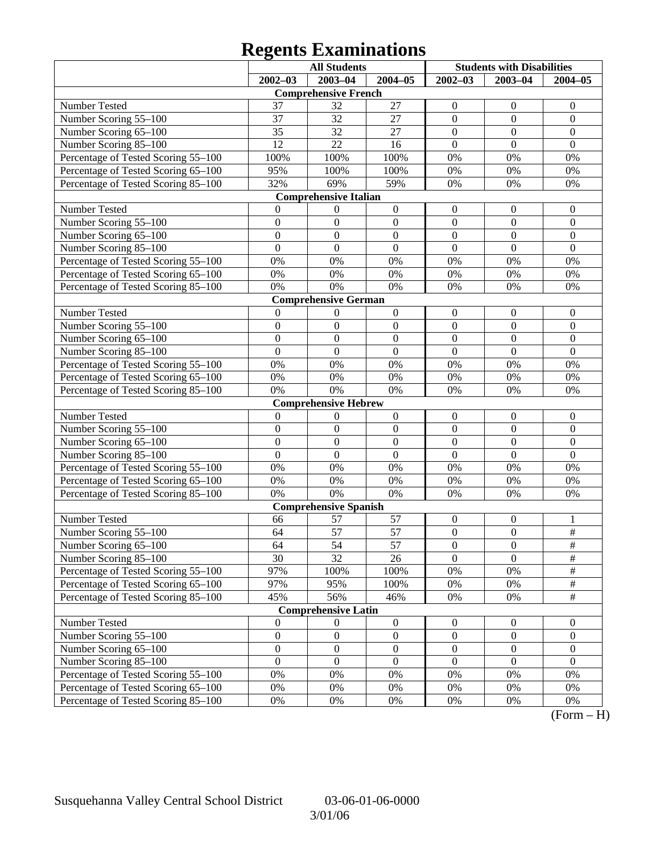### **Regents Examinations**

|                                        | <b>All Students</b>                  |                                      | <b>Students with Disabilities</b>    |                                      |                                      |                                    |
|----------------------------------------|--------------------------------------|--------------------------------------|--------------------------------------|--------------------------------------|--------------------------------------|------------------------------------|
|                                        | $2002 - 03$                          | 2003-04                              | $2004 - 05$                          | $2002 - 03$                          | $2003 - 04$                          | $2004 - 05$                        |
|                                        |                                      | <b>Comprehensive French</b>          |                                      |                                      |                                      |                                    |
| Number Tested                          | 37                                   | 32                                   | 27                                   | $\boldsymbol{0}$                     | $\boldsymbol{0}$                     | $\mathbf{0}$                       |
| Number Scoring 55-100                  | 37                                   | 32                                   | 27                                   | $\boldsymbol{0}$                     | $\mathbf{0}$                         | $\boldsymbol{0}$                   |
| Number Scoring 65-100                  | 35                                   | 32                                   | 27                                   | $\boldsymbol{0}$                     | $\mathbf{0}$                         | $\boldsymbol{0}$                   |
| Number Scoring 85-100                  | $\overline{12}$                      | 22                                   | 16                                   | $\boldsymbol{0}$                     | $\mathbf{0}$                         | $\mathbf{0}$                       |
| Percentage of Tested Scoring 55-100    | 100%                                 | 100%                                 | 100%                                 | $0\%$                                | 0%                                   | 0%                                 |
| Percentage of Tested Scoring 65-100    | 95%                                  | 100%                                 | 100%                                 | 0%                                   | 0%                                   | 0%                                 |
| Percentage of Tested Scoring 85-100    | 32%                                  | 69%                                  | 59%                                  | 0%                                   | 0%                                   | 0%                                 |
|                                        |                                      | <b>Comprehensive Italian</b>         |                                      |                                      |                                      |                                    |
| Number Tested                          | 0                                    | $\boldsymbol{0}$                     | $\boldsymbol{0}$                     | $\boldsymbol{0}$                     | $\boldsymbol{0}$                     | $\mathbf{0}$                       |
| Number Scoring 55-100                  | $\boldsymbol{0}$                     | $\boldsymbol{0}$                     | $\boldsymbol{0}$                     | $\boldsymbol{0}$                     | $\boldsymbol{0}$                     | $\boldsymbol{0}$                   |
| Number Scoring 65-100                  | $\boldsymbol{0}$                     | $\boldsymbol{0}$                     | $\boldsymbol{0}$                     | $\boldsymbol{0}$                     | $\overline{0}$                       | $\boldsymbol{0}$                   |
| Number Scoring 85-100                  | $\overline{0}$                       | $\boldsymbol{0}$                     | $\mathbf{0}$                         | $\mathbf{0}$                         | $\mathbf{0}$                         | $\boldsymbol{0}$                   |
| Percentage of Tested Scoring 55-100    | 0%                                   | 0%                                   | 0%                                   | 0%                                   | 0%                                   | 0%                                 |
| Percentage of Tested Scoring 65-100    | 0%                                   | 0%                                   | $0\%$                                | 0%                                   | 0%                                   | 0%                                 |
| Percentage of Tested Scoring 85-100    | 0%                                   | 0%                                   | 0%                                   | 0%                                   | 0%                                   | 0%                                 |
|                                        |                                      | <b>Comprehensive German</b>          |                                      |                                      |                                      |                                    |
| Number Tested                          | $\mathbf{0}$                         | $\boldsymbol{0}$                     | $\boldsymbol{0}$                     | $\boldsymbol{0}$                     | $\boldsymbol{0}$                     | $\mathbf{0}$                       |
| Number Scoring 55-100                  | $\boldsymbol{0}$                     | $\boldsymbol{0}$                     | $\boldsymbol{0}$                     | $\boldsymbol{0}$                     | $\boldsymbol{0}$                     | $\boldsymbol{0}$                   |
| Number Scoring 65-100                  | $\boldsymbol{0}$                     | $\boldsymbol{0}$                     | $\boldsymbol{0}$                     | $\boldsymbol{0}$                     | $\overline{0}$                       | $\boldsymbol{0}$                   |
| Number Scoring 85-100                  | $\overline{0}$                       | $\boldsymbol{0}$                     | $\mathbf{0}$                         | $\mathbf{0}$                         | $\overline{0}$                       | $\overline{0}$                     |
| Percentage of Tested Scoring 55-100    | 0%                                   | 0%                                   | 0%                                   | 0%                                   | 0%                                   | 0%                                 |
| Percentage of Tested Scoring 65-100    | 0%                                   | 0%                                   | $0\%$                                | 0%                                   | 0%                                   | 0%                                 |
| Percentage of Tested Scoring 85-100    | 0%                                   | 0%                                   | 0%                                   | 0%                                   | 0%                                   | 0%                                 |
|                                        |                                      | <b>Comprehensive Hebrew</b>          |                                      |                                      |                                      |                                    |
| Number Tested                          | $\boldsymbol{0}$                     | $\boldsymbol{0}$                     | $\boldsymbol{0}$                     | $\boldsymbol{0}$                     | $\boldsymbol{0}$                     | $\mathbf{0}$                       |
| Number Scoring 55-100                  | $\boldsymbol{0}$                     | $\boldsymbol{0}$                     | $\boldsymbol{0}$                     | $\boldsymbol{0}$                     | $\boldsymbol{0}$                     | $\boldsymbol{0}$                   |
| Number Scoring 65-100                  | $\boldsymbol{0}$                     | $\boldsymbol{0}$                     | $\boldsymbol{0}$                     | $\boldsymbol{0}$                     | $\overline{0}$                       | $\boldsymbol{0}$                   |
| Number Scoring 85-100                  | $\overline{0}$                       | $\boldsymbol{0}$                     | $\mathbf{0}$                         | $\overline{0}$                       | $\overline{0}$                       | $\overline{0}$                     |
| Percentage of Tested Scoring 55-100    | 0%                                   | 0%                                   | 0%                                   | 0%                                   | 0%                                   | 0%                                 |
| Percentage of Tested Scoring 65-100    | 0%                                   | 0%                                   | $0\%$                                | 0%                                   | 0%                                   | 0%                                 |
| Percentage of Tested Scoring 85-100    | 0%                                   | 0%                                   | $0\%$                                | 0%                                   | 0%                                   | 0%                                 |
|                                        |                                      | <b>Comprehensive Spanish</b>         |                                      |                                      |                                      |                                    |
| Number Tested                          | 66                                   | 57                                   | 57                                   | $\boldsymbol{0}$                     | $\boldsymbol{0}$                     | 1                                  |
| Number Scoring 55-100                  | 64                                   | $\overline{57}$                      | 57                                   | $\boldsymbol{0}$                     | $\mathbf{0}$                         | $\overline{\#}$                    |
| Number Scoring 65-100                  | 64                                   | 54                                   | 57                                   | $\boldsymbol{0}$                     | $\boldsymbol{0}$                     | #                                  |
| Number Scoring 85-100                  | 30                                   | $\overline{32}$                      | 26                                   | $\overline{0}$                       | $\overline{0}$                       | $\overline{\#}$                    |
| Percentage of Tested Scoring 55-100    | 97%                                  | 100%                                 | 100%                                 | 0%                                   | 0%                                   | $\#$                               |
| Percentage of Tested Scoring 65-100    | 97%                                  | 95%                                  | 100%                                 | 0%                                   | 0%                                   | $\frac{1}{2}$<br>$\overline{\#}$   |
| Percentage of Tested Scoring 85-100    | 45%                                  | 56%                                  | 46%                                  | 0%                                   | 0%                                   |                                    |
|                                        |                                      | <b>Comprehensive Latin</b>           |                                      |                                      |                                      |                                    |
| Number Tested<br>Number Scoring 55-100 | $\boldsymbol{0}$<br>$\boldsymbol{0}$ | $\boldsymbol{0}$<br>$\boldsymbol{0}$ | $\boldsymbol{0}$                     | $\boldsymbol{0}$<br>$\boldsymbol{0}$ | $\boldsymbol{0}$<br>$\boldsymbol{0}$ | $\overline{0}$<br>$\boldsymbol{0}$ |
| Number Scoring 65-100                  | $\boldsymbol{0}$                     |                                      | $\boldsymbol{0}$<br>$\boldsymbol{0}$ | $\boldsymbol{0}$                     | $\boldsymbol{0}$                     | $\boldsymbol{0}$                   |
|                                        | $\boldsymbol{0}$                     | $\boldsymbol{0}$<br>$\boldsymbol{0}$ | $\boldsymbol{0}$                     | $\boldsymbol{0}$                     | $\boldsymbol{0}$                     | $\boldsymbol{0}$                   |
| Number Scoring 85-100                  | 0%                                   | 0%                                   |                                      |                                      |                                      |                                    |
| Percentage of Tested Scoring 55-100    | 0%                                   | 0%                                   | 0%                                   | 0%                                   | 0%                                   | 0%                                 |
| Percentage of Tested Scoring 65-100    |                                      |                                      | 0%                                   | 0%                                   | 0%                                   | 0%                                 |
| Percentage of Tested Scoring 85-100    | $0\%$                                | 0%                                   | 0%                                   | 0%                                   | 0%                                   | 0%                                 |

 $(Form - H)$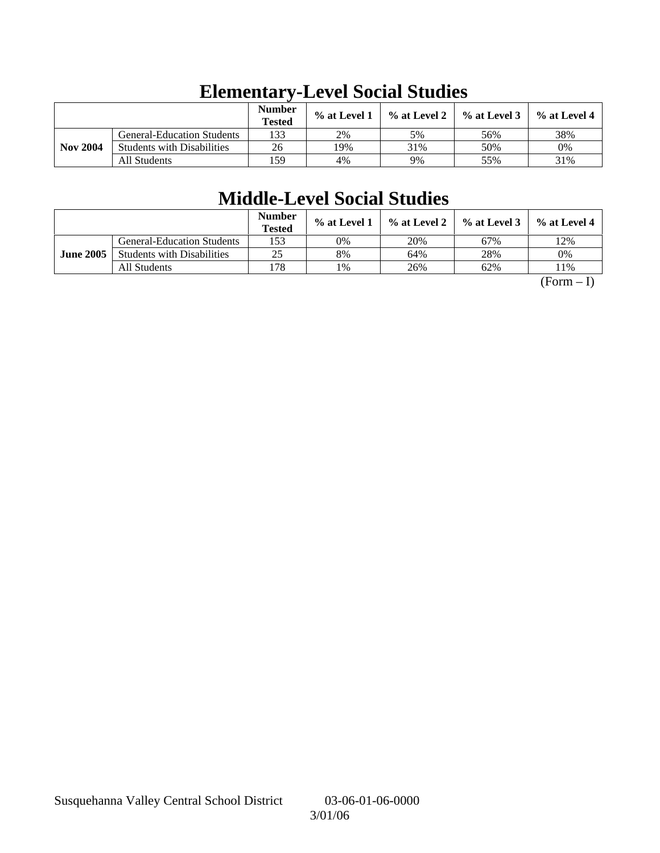|                 |                                   | <b>Number</b><br><b>Tested</b> | % at Level 1 | $\%$ at Level 2 | $\%$ at Level 3 | $%$ at Level 4 |
|-----------------|-----------------------------------|--------------------------------|--------------|-----------------|-----------------|----------------|
|                 | <b>General-Education Students</b> | 133                            | 2%           | 5%              | 56%             | 38%            |
| <b>Nov 2004</b> | <b>Students with Disabilities</b> | 26                             | 19%          | 31%             | 50%             | 0%             |
|                 | All Students                      | 159                            | 4%           | 9%              | 55%             | 31%            |

## **Elementary-Level Social Studies**

## **Middle-Level Social Studies**

|                  |                                   | <b>Number</b><br><b>Tested</b> | % at Level 1 | % at Level 2 | $%$ at Level 3 | $%$ at Level 4 |
|------------------|-----------------------------------|--------------------------------|--------------|--------------|----------------|----------------|
|                  | <b>General-Education Students</b> | 153                            | 0%           | 20%          | 67%            | 12%            |
| <b>June 2005</b> | <b>Students with Disabilities</b> | 25                             | 8%           | 64%          | 28%            | 0%             |
|                  | All Students                      | 178                            | 1%           | 26%          | 62%            | 11%            |

 $(Form - I)$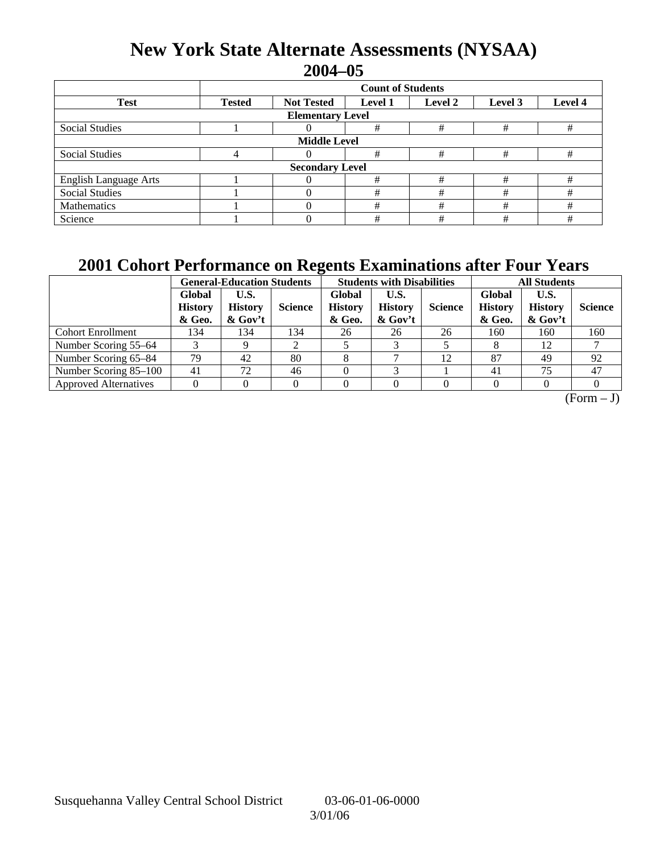### **New York State Alternate Assessments (NYSAA) 2004–05**

|                              | <b>Count of Students</b> |                   |                |         |                    |   |  |  |  |
|------------------------------|--------------------------|-------------------|----------------|---------|--------------------|---|--|--|--|
| <b>Test</b>                  | <b>Tested</b>            | <b>Not Tested</b> | <b>Level 1</b> | Level 2 | Level 4<br>Level 3 |   |  |  |  |
| <b>Elementary Level</b>      |                          |                   |                |         |                    |   |  |  |  |
| Social Studies               |                          |                   | #              | #       | #                  | # |  |  |  |
| <b>Middle Level</b>          |                          |                   |                |         |                    |   |  |  |  |
| Social Studies               | 4                        |                   | #              | #       | #                  | # |  |  |  |
| <b>Secondary Level</b>       |                          |                   |                |         |                    |   |  |  |  |
| <b>English Language Arts</b> |                          |                   | #              | #       | #                  | # |  |  |  |
| <b>Social Studies</b>        |                          |                   | #              | #       | #                  | # |  |  |  |
| Mathematics                  |                          |                   | #              | #       | #                  | # |  |  |  |
| Science                      |                          |                   | #              | #       | #                  | # |  |  |  |

### **2001 Cohort Performance on Regents Examinations after Four Years**

|                              | <b>General-Education Students</b>  |                                   |                | <b>Students with Disabilities</b>  |                                      |                | <b>All Students</b>                |                                      |                |
|------------------------------|------------------------------------|-----------------------------------|----------------|------------------------------------|--------------------------------------|----------------|------------------------------------|--------------------------------------|----------------|
|                              | Global<br><b>History</b><br>& Geo. | U.S.<br><b>History</b><br>& Gov't | <b>Science</b> | Global<br><b>History</b><br>& Geo. | U.S.<br><b>History</b><br>$\&$ Gov't | <b>Science</b> | Global<br><b>History</b><br>& Geo. | U.S.<br><b>History</b><br>$\&$ Gov't | <b>Science</b> |
| <b>Cohort Enrollment</b>     | 134                                | 134                               | 134            | 26                                 | 26                                   | 26             | 160                                | 160                                  | 160            |
| Number Scoring 55–64         |                                    |                                   | ◠              |                                    |                                      |                |                                    | 12                                   |                |
| Number Scoring 65-84         | 79                                 | 42                                | 80             |                                    |                                      | 12             | 87                                 | 49                                   | 92             |
| Number Scoring 85-100        | 41                                 | 72                                | 46             |                                    |                                      |                | 41                                 | 75                                   | 47             |
| <b>Approved Alternatives</b> |                                    |                                   |                |                                    |                                      |                |                                    |                                      |                |

 $(Form - J)$